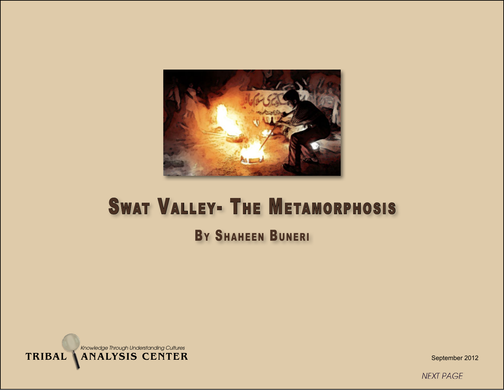

# **SWAT VALLEY- THE METAMORPHOSIS** BY SHAHEEN BUNERI



September 2012

**NEXT PAGE**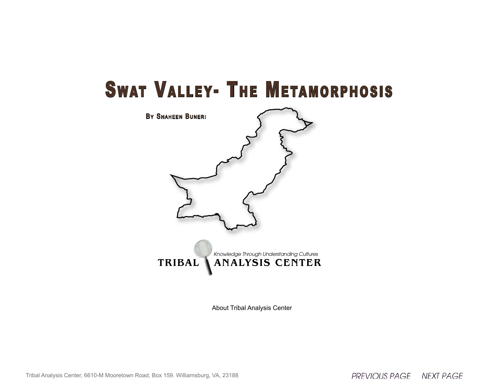## **SWAT VALLEY- THE METAMORPHOSIS**



About Tribal Analysis Center

Tribal Analysis Center, 6610-M Mooretown Road, Box 159. Williamsburg, VA, 23188

PREVIOUS PAGE NEXT PAGE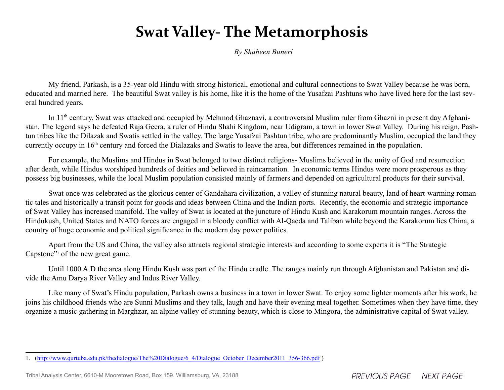## **Swat Valley- The Metamorphosis**

*By Shaheen Buneri*

My friend, Parkash, is a 35-year old Hindu with strong historical, emotional and cultural connections to Swat Valley because he was born, educated and married here. The beautiful Swat valley is his home, like it is the home of the Yusafzai Pashtuns who have lived here for the last several hundred years.

In 11th century, Swat was attacked and occupied by Mehmod Ghaznavi, a controversial Muslim ruler from Ghazni in present day Afghanistan. The legend says he defeated Raja Geera, a ruler of Hindu Shahi Kingdom, near Udigram, a town in lower Swat Valley. During his reign, Pashtun tribes like the Dilazak and Swatis settled in the valley. The large Yusafzai Pashtun tribe, who are predominantly Muslim, occupied the land they currently occupy in 16th century and forced the Dialazaks and Swatis to leave the area, but differences remained in the population.

For example, the Muslims and Hindus in Swat belonged to two distinct religions- Muslims believed in the unity of God and resurrection after death, while Hindus worshiped hundreds of deities and believed in reincarnation. In economic terms Hindus were more prosperous as they possess big businesses, while the local Muslim population consisted mainly of farmers and depended on agricultural products for their survival.

Swat once was celebrated as the glorious center of Gandahara civilization, a valley of stunning natural beauty, land of heart-warming romantic tales and historically a transit point for goods and ideas between China and the Indian ports. Recently, the economic and strategic importance of Swat Valley has increased manifold. The valley of Swat is located at the juncture of Hindu Kush and Karakorum mountain ranges. Across the Hindukush, United States and NATO forces are engaged in a bloody conflict with Al-Qaeda and Taliban while beyond the Karakorum lies China, a country of huge economic and political significance in the modern day power politics.

Apart from the US and China, the valley also attracts regional strategic interests and according to some experts it is "The Strategic Capstone"<sup>1</sup> of the new great game.

Until 1000 A.D the area along Hindu Kush was part of the Hindu cradle. The ranges mainly run through Afghanistan and Pakistan and divide the Amu Darya River Valley and Indus River Valley.

Like many of Swat's Hindu population, Parkash owns a business in a town in lower Swat. To enjoy some lighter moments after his work, he joins his childhood friends who are Sunni Muslims and they talk, laugh and have their evening meal together. Sometimes when they have time, they organize a music gathering in Marghzar, an alpine valley of stunning beauty, which is close to Mingora, the administrative capital of Swat valley.

<sup>1.</sup> [\(http://www.qurtuba.edu.pk/thedialogue/The%20Dialogue/6\\_4/Dialogue\\_October\\_December2011\\_356-366.pdf](http://www.qurtuba.edu.pk/thedialogue/The%20Dialogue/6_4/Dialogue_October_December2011_356-366.pdf) )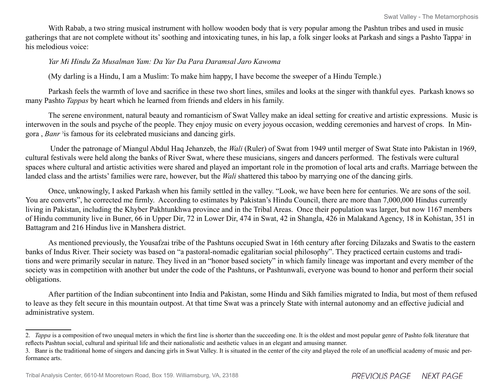With Rabab, a two string musical instrument with hollow wooden body that is very popular among the Pashtun tribes and used in music gatherings that are not complete without its' soothing and intoxicating tunes, in his lap, a folk singer looks at Parkash and sings a Pashto Tappa<sup>2</sup> in his melodious voice:

#### *Yar Mi Hindu Za Musalman Yam: Da Yar Da Para Daramsal Jaro Kawoma*

(My darling is a Hindu, I am a Muslim: To make him happy, I have become the sweeper of a Hindu Temple.)

Parkash feels the warmth of love and sacrifice in these two short lines, smiles and looks at the singer with thankful eyes. Parkash knows so many Pashto *Tappas* by heart which he learned from friends and elders in his family.

The serene environment, natural beauty and romanticism of Swat Valley make an ideal setting for creative and artistic expressions. Music is interwoven in the souls and psyche of the people. They enjoy music on every joyous occasion, wedding ceremonies and harvest of crops. In Mingora, *Banr*<sup>3</sup> is famous for its celebrated musicians and dancing girls.

 Under the patronage of Miangul Abdul Haq Jehanzeb, the *Wali* (Ruler) of Swat from 1949 until merger of Swat State into Pakistan in 1969, cultural festivals were held along the banks of River Swat, where these musicians, singers and dancers performed. The festivals were cultural spaces where cultural and artistic activities were shared and played an important role in the promotion of local arts and crafts. Marriage between the landed class and the artists' families were rare, however, but the *Wali* shattered this taboo by marrying one of the dancing girls.

Once, unknowingly, I asked Parkash when his family settled in the valley. "Look, we have been here for centuries. We are sons of the soil. You are converts", he corrected me firmly. According to estimates by Pakistan's Hindu Council, there are more than 7,000,000 Hindus currently living in Pakistan, including the Khyber Pakhtunkhwa province and in the Tribal Areas. Once their population was larger, but now 1167 members of Hindu community live in Buner, 66 in Upper Dir, 72 in Lower Dir, 474 in Swat, 42 in Shangla, 426 in Malakand Agency, 18 in Kohistan, 351 in Battagram and 216 Hindus live in Manshera district.

As mentioned previously, the Yousafzai tribe of the Pashtuns occupied Swat in 16th century after forcing Dilazaks and Swatis to the eastern banks of Indus River. Their society was based on "a pastoral-nomadic egalitarian social philosophy". They practiced certain customs and traditions and were primarily secular in nature. They lived in an "honor based society" in which family lineage was important and every member of the society was in competition with another but under the code of the Pashtuns, or Pashtunwali, everyone was bound to honor and perform their social obligations.

After partition of the Indian subcontinent into India and Pakistan, some Hindu and Sikh families migrated to India, but most of them refused to leave as they felt secure in this mountain outpost. At that time Swat was a princely State with internal autonomy and an effective judicial and administrative system.

<sup>2.</sup> *Tappa* is a composition of two unequal meters in which the first line is shorter than the succeeding one. It is the oldest and most popular genre of Pashto folk literature that reflects Pashtun social, cultural and spiritual life and their nationalistic and aesthetic values in an elegant and amusing manner.

<sup>3.</sup> Banr is the traditional home of singers and dancing girls in Swat Valley. It is situated in the center of the city and played the role of an unofficial academy of music and performance arts.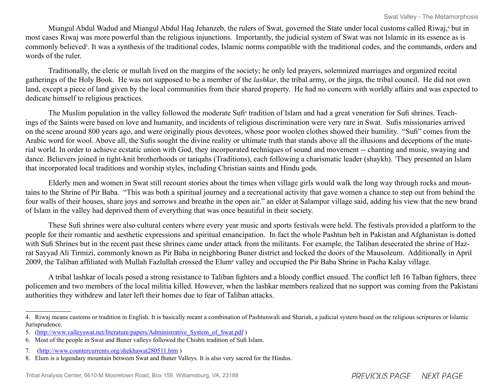Miangul Abdul Wadud and Miangul Abdul Haq Jehanzeb, the rulers of Swat, governed the State under local customs called Riwaj,<sup>4</sup> but in most cases Riwaj was more powerful than the religious injunctions. Importantly, the judicial system of Swat was not Islamic in its essence as is commonly believed<sup>5</sup>. It was a synthesis of the traditional codes, Islamic norms compatible with the traditional codes, and the commands, orders and words of the ruler.

Traditionally, the cleric or mullah lived on the margins of the society; he only led prayers, solemnized marriages and organized recital gatherings of the Holy Book. He was not supposed to be a member of the *lashkar*, the tribal army, or the jirga, the tribal council. He did not own land, except a piece of land given by the local communities from their shared property. He had no concern with worldly affairs and was expected to dedicate himself to religious practices.

The Muslim population in the valley followed the moderate Sufi<sup>6</sup> tradition of Islam and had a great veneration for Sufi shrines. Teachings of the Saints were based on love and humanity, and incidents of religious discrimination were very rare in Swat. Sufis missionaries arrived on the scene around 800 years ago, and were originally pious devotees, whose poor woolen clothes showed their humility. "Sufi" comes from the Arabic word for wool. Above all, the Sufis sought the divine reality or ultimate truth that stands above all the illusions and deceptions of the material world. In order to achieve ecstatic union with God, they incorporated techniques of sound and movement -- chanting and music, swaying and dance. Believers joined in tight-knit brotherhoods or tariqahs (Traditions), each following a charismatic leader (shaykh). <sup>7</sup> They presented an Islam that incorporated local traditions and worship styles, including Christian saints and Hindu gods.

Elderly men and women in Swat still recount stories about the times when village girls would walk the long way through rocks and mountains to the Shrine of Pir Baba. "This was both a spiritual journey and a recreational activity that gave women a chance to step out from behind the four walls of their houses, share joys and sorrows and breathe in the open air." an elder at Salampur village said, adding his view that the new brand of Islam in the valley had deprived them of everything that was once beautiful in their society.

These Sufi shrines were also cultural centers where every year music and sports festivals were held. The festivals provided a platform to the people for their romantic and aesthetic expressions and spiritual emancipation. In fact the whole Pashtun belt in Pakistan and Afghanistan is dotted with Sufi Shrines but in the recent past these shrines came under attack from the militants. For example, the Taliban desecrated the shrine of Hazrat Sayyad Ali Tirmizi, commonly known as Pir Baba in neighboring Buner district and locked the doors of the Mausoleum. Additionally in April 2009, the Taliban affiliated with Mullah Fazlullah crossed the Elum<sup>®</sup> valley and occupied the Pir Baba Shrine in Pacha Kalay village.

A tribal lashkar of locals posed a strong resistance to Taliban fighters and a bloody conflict ensued. The conflict left 16 Talban fighters, three policemen and two members of the local militia killed. However, when the lashkar members realized that no support was coming from the Pakistani authorities they withdrew and later left their homes due to fear of Taliban attacks.

<sup>4.</sup> Riwaj means customs or tradition in English. It is basically meant a combination of Pashtunwali and Shariah, a judicial system based on the religious scriptures or Islamic Jurisprudence.

<sup>5.</sup> [\(http://www.valleyswat.net/literature/papers/Administrative\\_System\\_of\\_Swat.pdf](http://www.valleyswat.net/literature/papers/Administrative_System_of_Swat.pdf) )

<sup>6.</sup> Most of the people in Swat and Buner valleys followed the Chishti tradition of Sufi Islam.

<sup>7.</sup> (<http://www.countercurrents.org/shekhawat280511.htm> )

<sup>8.</sup> Elum is a legendary mountain between Swat and Buner Valleys. It is also very sacred for the Hindus.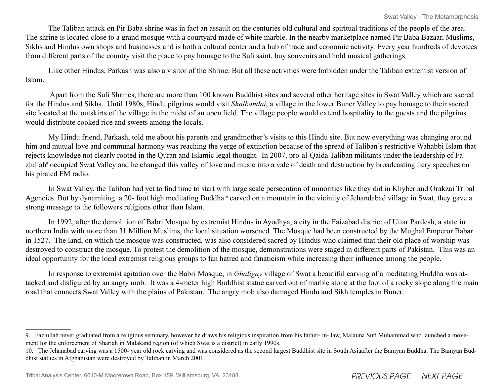The Taliban attack on Pir Baba shrine was in fact an assault on the centuries old cultural and spiritual traditions of the people of the area. The shrine is located close to a grand mosque with a courtyard made of white marble. In the nearby marketplace named Pir Baba Bazaar, Muslims, Sikhs and Hindus own shops and businesses and is both a cultural center and a hub of trade and economic activity. Every year hundreds of devotees from different parts of the country visit the place to pay homage to the Sufi saint, buy souvenirs and hold musical gatherings.

Like other Hindus, Parkash was also a visitor of the Shrine. But all these activities were forbidden under the Taliban extremist version of Islam.

 Apart from the Sufi Shrines, there are more than 100 known Buddhist sites and several other heritage sites in Swat Valley which are sacred for the Hindus and Sikhs. Until 1980s, Hindu pilgrims would visit *Shalbandai*, a village in the lower Buner Valley to pay homage to their sacred site located at the outskirts of the village in the midst of an open field. The village people would extend hospitality to the guests and the pilgrims would distribute cooked rice and sweets among the locals.

My Hindu friend, Parkash, told me about his parents and grandmother's visits to this Hindu site. But now everything was changing around him and mutual love and communal harmony was reaching the verge of extinction because of the spread of Taliban's restrictive Wahabbi Islam that rejects knowledge not clearly rooted in the Quran and Islamic legal thought. In 2007, pro-al-Qaida Taliban militants under the leadership of Fazlullah<sup>9</sup> occupied Swat Valley and he changed this valley of love and music into a vale of death and destruction by broadcasting fiery speeches on his pirated FM radio.

In Swat Valley, the Taliban had yet to find time to start with large scale persecution of minorities like they did in Khyber and Orakzai Tribal Agencies. But by dynamiting a 20- foot high meditating Buddha<sup>10</sup> carved on a mountain in the vicinity of Jehandabad village in Swat, they gave a strong message to the followers religions other than Islam.

In 1992, after the demolition of Babri Mosque by extremist Hindus in Ayodhya, a city in the Faizabad district of Uttar Pardesh, a state in northern India with more than 31 Million Muslims, the local situation worsened. The Mosque had been constructed by the Mughal Emperor Babar in 1527. The land, on which the mosque was constructed, was also considered sacred by Hindus who claimed that their old place of worship was destroyed to construct the mosque. To protest the demolition of the mosque, demonstrations were staged in different parts of Pakistan. This was an ideal opportunity for the local extremist religious groups to fan hatred and fanaticism while increasing their influence among the people.

In response to extremist agitation over the Babri Mosque, in *Ghaligay* village of Swat a beautiful carving of a meditating Buddha was attacked and disfigured by an angry mob. It was a 4-meter high Buddhist statue carved out of marble stone at the foot of a rocky slope along the main road that connects Swat Valley with the plains of Pakistan. The angry mob also damaged Hindu and Sikh temples in Buner.

<sup>9.</sup> Fazlullah never graduated from a religious seminary, however he draws his religious inspiration from his father- in- law, Malauna Sufi Muhammad who launched a movement for the enforcement of Shariah in Malakand region (of which Swat is a district) in early 1990s.

<sup>10.</sup> The Jehanabad carving was a 1500- year old rock carving and was considered as the second largest Buddhist site in South Asiaafter the Bamyan Buddha. The Bamyan Buddhist statues in Afghanistan were destroyed by Taliban in March 2001.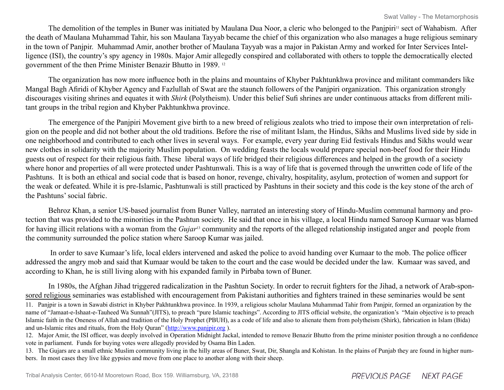The demolition of the temples in Buner was initiated by Maulana Dua Noor, a cleric who belonged to the Panjpiri<sup>11</sup> sect of Wahabism. After the death of Maulana Muhammad Tahir, his son Maulana Tayyab became the chief of this organization who also manages a huge religious seminary in the town of Panjpir. Muhammad Amir, another brother of Maulana Tayyab was a major in Pakistan Army and worked for Inter Services Intelligence (ISI), the country's spy agency in 1980s. Major Amir allegedly conspired and collaborated with others to topple the democratically elected government of the then Prime Minister Benazir Bhutto in 1989. <sup>12</sup>

The organization has now more influence both in the plains and mountains of Khyber Pakhtunkhwa province and militant commanders like Mangal Bagh Afiridi of Khyber Agency and Fazlullah of Swat are the staunch followers of the Panjpiri organization. This organization strongly discourages visiting shrines and equates it with *Shirk* (Polytheism). Under this belief Sufi shrines are under continuous attacks from different militant groups in the tribal region and Khyber Pakhtunkhwa province.

The emergence of the Panjpiri Movement give birth to a new breed of religious zealots who tried to impose their own interpretation of religion on the people and did not bother about the old traditions. Before the rise of militant Islam, the Hindus, Sikhs and Muslims lived side by side in one neighborhood and contributed to each other lives in several ways. For example, every year during Eid festivals Hindus and Sikhs would wear new clothes in solidarity with the majority Muslim population. On wedding feasts the locals would prepare special non-beef food for their Hindu guests out of respect for their religious faith. These liberal ways of life bridged their religious differences and helped in the growth of a society where honor and properties of all were protected under Pashtunwali. This is a way of life that is governed through the unwritten code of life of the Pashtuns. It is both an ethical and social code that is based on honor, revenge, chivalry, hospitality, asylum, protection of women and support for the weak or defeated. While it is pre-Islamic, Pashtunwali is still practiced by Pashtuns in their society and this code is the key stone of the arch of the Pashtuns' social fabric.

Behroz Khan, a senior US-based journalist from Buner Valley, narrated an interesting story of Hindu-Muslim communal harmony and protection that was provided to the minorities in the Pashtun society. He said that once in his village, a local Hindu named Saroop Kumaar was blamed for having illicit relations with a woman from the *Gujar*13 community and the reports of the alleged relationship instigated anger and people from the community surrounded the police station where Saroop Kumar was jailed.

 In order to save Kumaar's life, local elders intervened and asked the police to avoid handing over Kumaar to the mob. The police officer addressed the angry mob and said that Kumaar would be taken to the court and the case would be decided under the law. Kumaar was saved, and according to Khan, he is still living along with his expanded family in Pirbaba town of Buner.

In 1980s, the Afghan Jihad triggered radicalization in the Pashtun Society. In order to recruit fighters for the Jihad, a network of Arab-sponsored religious seminaries was established with encouragement from Pakistani authorities and fighters trained in these seminaries would be sent

11. Panjpir is a town in Sawabi district in Khyber Pakhtunkhwa province. In 1939, a religious scholar Maulana Muhammad Tahir from Panjpir, formed an organization by the name of "Jamaat-e-Ishaat-e-Tauheed Wa Sunnah"(JITS), to preach "pure Islamic teachings". According to JITS official website, the organization's "Main objective is to preach Islamic faith in the Oneness of Allah and tradition of the Holy Prophet (PBUH), as a code of life and also to alienate them from polytheism (Shirk), fabrication in Islam (Bida) and un-Islamic rites and rituals, from the Holy Quran" (<http://www.panjpir.org> ).

12. Major Amir, the ISI officer, was deeply involved in Operation Midnight Jackal, intended to remove Benazir Bhutto from the prime minister position through a no confidence vote in parliament. Funds for buying votes were allegedly provided by Osama Bin Laden.

13. The Gujars are a small ethnic Muslim community living in the hilly areas of Buner, Swat, Dir, Shangla and Kohistan. In the plains of Punjab they are found in higher numbers. In most cases they live like gypsies and move from one place to another along with their sheep.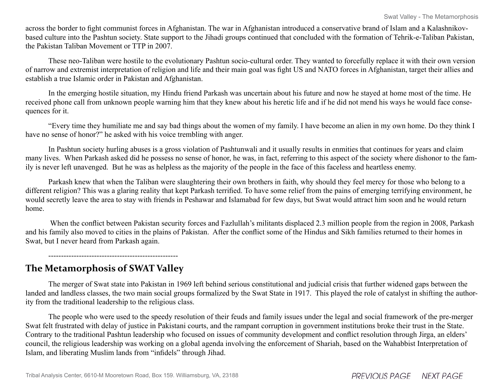across the border to fight communist forces in Afghanistan. The war in Afghanistan introduced a conservative brand of Islam and a Kalashnikovbased culture into the Pashtun society. State support to the Jihadi groups continued that concluded with the formation of Tehrik-e-Taliban Pakistan, the Pakistan Taliban Movement or TTP in 2007.

These neo-Taliban were hostile to the evolutionary Pashtun socio-cultural order. They wanted to forcefully replace it with their own version of narrow and extremist interpretation of religion and life and their main goal was fight US and NATO forces in Afghanistan, target their allies and establish a true Islamic order in Pakistan and Afghanistan.

In the emerging hostile situation, my Hindu friend Parkash was uncertain about his future and now he stayed at home most of the time. He received phone call from unknown people warning him that they knew about his heretic life and if he did not mend his ways he would face consequences for it.

"Every time they humiliate me and say bad things about the women of my family. I have become an alien in my own home. Do they think I have no sense of honor?" he asked with his voice trembling with anger.

In Pashtun society hurling abuses is a gross violation of Pashtunwali and it usually results in enmities that continues for years and claim many lives. When Parkash asked did he possess no sense of honor, he was, in fact, referring to this aspect of the society where dishonor to the family is never left unavenged. But he was as helpless as the majority of the people in the face of this faceless and heartless enemy.

Parkash knew that when the Taliban were slaughtering their own brothers in faith, why should they feel mercy for those who belong to a different religion? This was a glaring reality that kept Parkash terrified. To have some relief from the pains of emerging terrifying environment, he would secretly leave the area to stay with friends in Peshawar and Islamabad for few days, but Swat would attract him soon and he would return home.

When the conflict between Pakistan security forces and Fazlullah's militants displaced 2.3 million people from the region in 2008, Parkash and his family also moved to cities in the plains of Pakistan. After the conflict some of the Hindus and Sikh families returned to their homes in Swat, but I never heard from Parkash again.

**The Metamorphosis of SWAT Valley**

---------------------------------------------------

The merger of Swat state into Pakistan in 1969 left behind serious constitutional and judicial crisis that further widened gaps between the landed and landless classes, the two main social groups formalized by the Swat State in 1917. This played the role of catalyst in shifting the authority from the traditional leadership to the religious class.

The people who were used to the speedy resolution of their feuds and family issues under the legal and social framework of the pre-merger Swat felt frustrated with delay of justice in Pakistani courts, and the rampant corruption in government institutions broke their trust in the State. Contrary to the traditional Pashtun leadership who focused on issues of community development and conflict resolution through Jirga, an elders' council, the religious leadership was working on a global agenda involving the enforcement of Shariah, based on the Wahabbist Interpretation of Islam, and liberating Muslim lands from "infidels" through Jihad.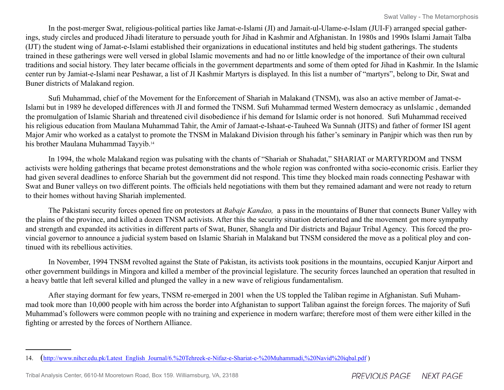In the post-merger Swat, religious-political parties like Jamat-e-Islami (JI) and Jamait-ul-Ulame-e-Islam (JUI-F) arranged special gatherings, study circles and produced Jihadi literature to persuade youth for Jihad in Kashmir and Afghanistan. In 1980s and 1990s Islami Jamait Talba (IJT) the student wing of Jamat-e-Islami established their organizations in educational institutes and held big student gatherings. The students trained in these gatherings were well versed in global Islamic movements and had no or little knowledge of the importance of their own cultural traditions and social history. They later became officials in the government departments and some of them opted for Jihad in Kashmir. In the Islamic center run by Jamiat-e-Islami near Peshawar, a list of JI Kashmir Martyrs is displayed. In this list a number of "martyrs", belong to Dir, Swat and Buner districts of Malakand region.

Sufi Muhammad, chief of the Movement for the Enforcement of Shariah in Malakand (TNSM), was also an active member of Jamat-e-Islami but in 1989 he developed differences with JI and formed the TNSM. Sufi Muhammad termed Western democracy as unIslamic , demanded the promulgation of Islamic Shariah and threatened civil disobedience if his demand for Islamic order is not honored. Sufi Muhammad received his religious education from Maulana Muhammad Tahir, the Amir of Jamaat-e-Ishaat-e-Tauheed Wa Sunnah (JITS) and father of former ISI agent Major Amir who worked as a catalyst to promote the TNSM in Malakand Division through his father's seminary in Panjpir which was then run by his brother Maulana Muhammad Tayyib.<sup>14</sup>

In 1994, the whole Malakand region was pulsating with the chants of "Shariah or Shahadat," SHARIAT or MARTYRDOM and TNSM activists were holding gatherings that became protest demonstrations and the whole region was confronted witha socio-economic crisis. Earlier they had given several deadlines to enforce Shariah but the government did not respond. This time they blocked main roads connecting Peshawar with Swat and Buner valleys on two different points. The officials held negotiations with them but they remained adamant and were not ready to return to their homes without having Shariah implemented.

The Pakistani security forces opened fire on protestors at *Babaje Kandao,* a pass in the mountains of Buner that connects Buner Valley with the plains of the province, and killed a dozen TNSM activists. After this the security situation deteriorated and the movement got more sympathy and strength and expanded its activities in different parts of Swat, Buner, Shangla and Dir districts and Bajaur Tribal Agency. This forced the provincial governor to announce a judicial system based on Islamic Shariah in Malakand but TNSM considered the move as a political ploy and continued with its rebellious activities.

In November, 1994 TNSM revolted against the State of Pakistan, its activists took positions in the mountains, occupied Kanjur Airport and other government buildings in Mingora and killed a member of the provincial legislature. The security forces launched an operation that resulted in a heavy battle that left several killed and plunged the valley in a new wave of religious fundamentalism.

After staying dormant for few years, TNSM re-emerged in 2001 when the US toppled the Taliban regime in Afghanistan. Sufi Muhammad took more than 10,000 people with him across the border into Afghanistan to support Taliban against the foreign forces. The majority of Sufi Muhammad's followers were common people with no training and experience in modern warfare; therefore most of them were either killed in the fighting or arrested by the forces of Northern Alliance.

<sup>14.</sup> [\(http://www.nihcr.edu.pk/Latest\\_English\\_Journal/6.%20Tehreek-e-Nifaz-e-Shariat-e-%20Muhammadi,%20Navid%20iqbal.pdf](http://www.nihcr.edu.pk/Latest_English_Journal/6.%20Tehreek-e-Nifaz-e-Shariat-e-%20Muhammadi,%20Navid%20iqbal.pdf) )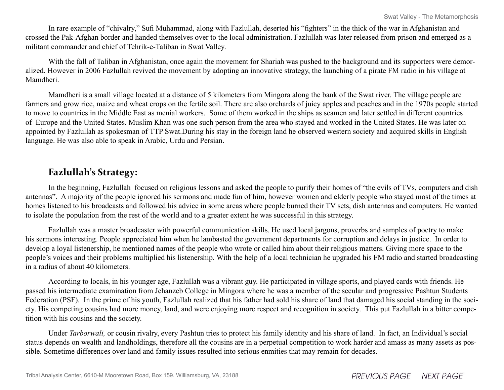In rare example of "chivalry," Sufi Muhammad, along with Fazlullah, deserted his "fighters" in the thick of the war in Afghanistan and crossed the Pak-Afghan border and handed themselves over to the local administration. Fazlullah was later released from prison and emerged as a militant commander and chief of Tehrik-e-Taliban in Swat Valley.

With the fall of Taliban in Afghanistan, once again the movement for Shariah was pushed to the background and its supporters were demoralized. However in 2006 Fazlullah revived the movement by adopting an innovative strategy, the launching of a pirate FM radio in his village at Mamdheri.

Mamdheri is a small village located at a distance of 5 kilometers from Mingora along the bank of the Swat river. The village people are farmers and grow rice, maize and wheat crops on the fertile soil. There are also orchards of juicy apples and peaches and in the 1970s people started to move to countries in the Middle East as menial workers. Some of them worked in the ships as seamen and later settled in different countries of Europe and the United States. Muslim Khan was one such person from the area who stayed and worked in the United States. He was later on appointed by Fazlullah as spokesman of TTP Swat.During his stay in the foreign land he observed western society and acquired skills in English language. He was also able to speak in Arabic, Urdu and Persian.

### **Fazlullah's Strategy:**

In the beginning, Fazlullah focused on religious lessons and asked the people to purify their homes of "the evils of TVs, computers and dish antennas". A majority of the people ignored his sermons and made fun of him, however women and elderly people who stayed most of the times at homes listened to his broadcasts and followed his advice in some areas where people burned their TV sets, dish antennas and computers. He wanted to isolate the population from the rest of the world and to a greater extent he was successful in this strategy.

Fazlullah was a master broadcaster with powerful communication skills. He used local jargons, proverbs and samples of poetry to make his sermons interesting. People appreciated him when he lambasted the government departments for corruption and delays in justice. In order to develop a loyal listenership, he mentioned names of the people who wrote or called him about their religious matters. Giving more space to the people's voices and their problems multiplied his listenership. With the help of a local technician he upgraded his FM radio and started broadcasting in a radius of about 40 kilometers.

According to locals, in his younger age, Fazlullah was a vibrant guy. He participated in village sports, and played cards with friends. He passed his intermediate examination from Jehanzeb College in Mingora where he was a member of the secular and progressive Pashtun Students Federation (PSF). In the prime of his youth, Fazlullah realized that his father had sold his share of land that damaged his social standing in the society. His competing cousins had more money, land, and were enjoying more respect and recognition in society. This put Fazlullah in a bitter competition with his cousins and the society.

Under *Tarborwali,* or cousin rivalry, every Pashtun tries to protect his family identity and his share of land. In fact, an Individual's social status depends on wealth and landholdings, therefore all the cousins are in a perpetual competition to work harder and amass as many assets as possible. Sometime differences over land and family issues resulted into serious enmities that may remain for decades.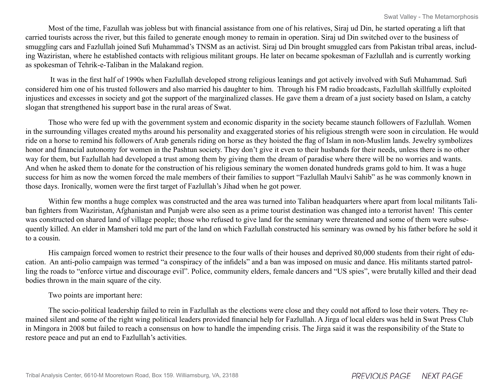Most of the time, Fazullah was jobless but with financial assistance from one of his relatives, Siraj ud Din, he started operating a lift that carried tourists across the river, but this failed to generate enough money to remain in operation. Siraj ud Din switched over to the business of smuggling cars and Fazlullah joined Sufi Muhammad's TNSM as an activist. Siraj ud Din brought smuggled cars from Pakistan tribal areas, including Waziristan, where he established contacts with religious militant groups. He later on became spokesman of Fazlullah and is currently working as spokesman of Tehrik-e-Taliban in the Malakand region.

 It was in the first half of 1990s when Fazlullah developed strong religious leanings and got actively involved with Sufi Muhammad. Sufi considered him one of his trusted followers and also married his daughter to him. Through his FM radio broadcasts, Fazlullah skillfully exploited injustices and excesses in society and got the support of the marginalized classes. He gave them a dream of a just society based on Islam, a catchy slogan that strengthened his support base in the rural areas of Swat.

Those who were fed up with the government system and economic disparity in the society became staunch followers of Fazlullah. Women in the surrounding villages created myths around his personality and exaggerated stories of his religious strength were soon in circulation. He would ride on a horse to remind his followers of Arab generals riding on horse as they hoisted the flag of Islam in non-Muslim lands. Jewelry symbolizes honor and financial autonomy for women in the Pashtun society. They don't give it even to their husbands for their needs, unless there is no other way for them, but Fazlullah had developed a trust among them by giving them the dream of paradise where there will be no worries and wants. And when he asked them to donate for the construction of his religious seminary the women donated hundreds grams gold to him. It was a huge success for him as now the women forced the male members of their families to support "Fazlullah Maulvi Sahib" as he was commonly known in those days. Ironically, women were the first target of Fazlullah's Jihad when he got power.

Within few months a huge complex was constructed and the area was turned into Taliban headquarters where apart from local militants Taliban fighters from Waziristan, Afghanistan and Punjab were also seen as a prime tourist destination was changed into a terrorist haven! This center was constructed on shared land of village people; those who refused to give land for the seminary were threatened and some of them were subsequently killed. An elder in Mamsheri told me part of the land on which Fazlullah constructed his seminary was owned by his father before he sold it to a cousin.

His campaign forced women to restrict their presence to the four walls of their houses and deprived 80,000 students from their right of education. An anti-polio campaign was termed "a conspiracy of the infidels" and a ban was imposed on music and dance. His militants started patrolling the roads to "enforce virtue and discourage evil". Police, community elders, female dancers and "US spies", were brutally killed and their dead bodies thrown in the main square of the city.

#### Two points are important here:

The socio-political leadership failed to rein in Fazlullah as the elections were close and they could not afford to lose their voters. They remained silent and some of the right wing political leaders provided financial help for Fazlullah. A Jirga of local elders was held in Swat Press Club in Mingora in 2008 but failed to reach a consensus on how to handle the impending crisis. The Jirga said it was the responsibility of the State to restore peace and put an end to Fazlullah's activities.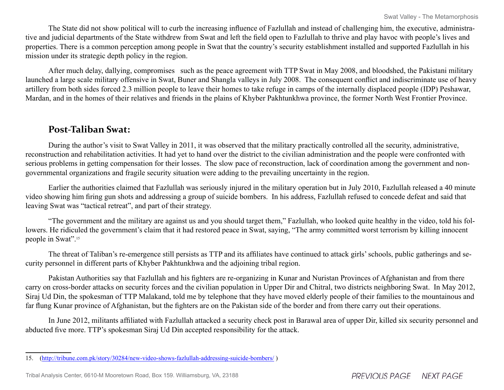The State did not show political will to curb the increasing influence of Fazlullah and instead of challenging him, the executive, administrative and judicial departments of the State withdrew from Swat and left the field open to Fazlullah to thrive and play havoc with people's lives and properties. There is a common perception among people in Swat that the country's security establishment installed and supported Fazlullah in his mission under its strategic depth policy in the region.

After much delay, dallying, compromises such as the peace agreement with TTP Swat in May 2008, and bloodshed, the Pakistani military launched a large scale military offensive in Swat, Buner and Shangla valleys in July 2008. The consequent conflict and indiscriminate use of heavy artillery from both sides forced 2.3 million people to leave their homes to take refuge in camps of the internally displaced people (IDP) Peshawar, Mardan, and in the homes of their relatives and friends in the plains of Khyber Pakhtunkhwa province, the former North West Frontier Province.

### **Post-Taliban Swat:**

During the author's visit to Swat Valley in 2011, it was observed that the military practically controlled all the security, administrative, reconstruction and rehabilitation activities. It had yet to hand over the district to the civilian administration and the people were confronted with serious problems in getting compensation for their losses. The slow pace of reconstruction, lack of coordination among the government and nongovernmental organizations and fragile security situation were adding to the prevailing uncertainty in the region.

Earlier the authorities claimed that Fazlullah was seriously injured in the military operation but in July 2010, Fazlullah released a 40 minute video showing him firing gun shots and addressing a group of suicide bombers. In his address, Fazlullah refused to concede defeat and said that leaving Swat was "tactical retreat", and part of their strategy.

"The government and the military are against us and you should target them," Fazlullah, who looked quite healthy in the video, told his followers. He ridiculed the government's claim that it had restored peace in Swat, saying, "The army committed worst terrorism by killing innocent people in Swat".15

The threat of Taliban's re-emergence still persists as TTP and its affiliates have continued to attack girls' schools, public gatherings and security personnel in different parts of Khyber Pakhtunkhwa and the adjoining tribal region.

Pakistan Authorities say that Fazlullah and his fighters are re-organizing in Kunar and Nuristan Provinces of Afghanistan and from there carry on cross-border attacks on security forces and the civilian population in Upper Dir and Chitral, two districts neighboring Swat. In May 2012, Siraj Ud Din, the spokesman of TTP Malakand, told me by telephone that they have moved elderly people of their families to the mountainous and far flung Kunar province of Afghanistan, but the fighters are on the Pakistan side of the border and from there carry out their operations.

In June 2012, militants affiliated with Fazlullah attacked a security check post in Barawal area of upper Dir, killed six security personnel and abducted five more. TTP's spokesman Siraj Ud Din accepted responsibility for the attack.

<sup>15. (</sup><http://tribune.com.pk/story/30284/new-video-shows-fazlullah-addressing-suicide-bombers/> )

Tribal Analysis Center, 6610-M Mooretown Road, Box 159. Williamsburg, VA, 23188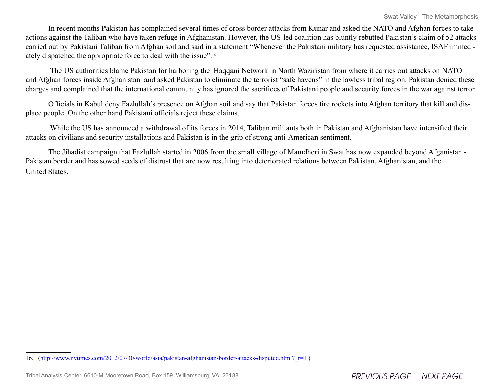In recent months Pakistan has complained several times of cross border attacks from Kunar and asked the NATO and Afghan forces to take actions against the Taliban who have taken refuge in Afghanistan. However, the US-led coalition has bluntly rebutted Pakistan's claim of 52 attacks carried out by Pakistani Taliban from Afghan soil and said in a statement "Whenever the Pakistani military has requested assistance, ISAF immediately dispatched the appropriate force to deal with the issue".16

 The US authorities blame Pakistan for harboring the Haqqani Network in North Waziristan from where it carries out attacks on NATO and Afghan forces inside Afghanistan and asked Pakistan to eliminate the terrorist "safe havens" in the lawless tribal region. Pakistan denied these charges and complained that the international community has ignored the sacrifices of Pakistani people and security forces in the war against terror.

Officials in Kabul deny Fazlullah's presence on Afghan soil and say that Pakistan forces fire rockets into Afghan territory that kill and displace people. On the other hand Pakistani officials reject these claims.

 While the US has announced a withdrawal of its forces in 2014, Taliban militants both in Pakistan and Afghanistan have intensified their attacks on civilians and security installations and Pakistan is in the grip of strong anti-American sentiment.

The Jihadist campaign that Fazlullah started in 2006 from the small village of Mamdheri in Swat has now expanded beyond Afganistan - Pakistan border and has sowed seeds of distrust that are now resulting into deteriorated relations between Pakistan, Afghanistan, and the United States.

<sup>16. (</sup>http://www.nytimes.com/2012/07/30/world/asia/pakistan-afghanistan-border-attacks-disputed.html? r=1 )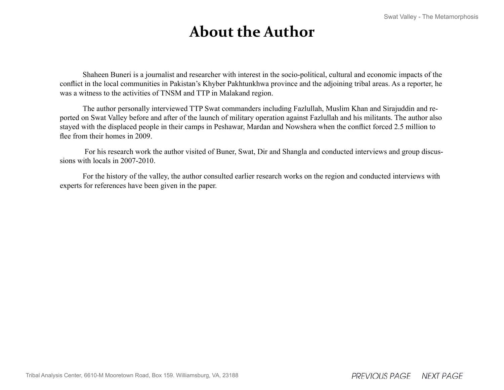### **About the Author**

Shaheen Buneri is a journalist and researcher with interest in the socio-political, cultural and economic impacts of the conflict in the local communities in Pakistan's Khyber Pakhtunkhwa province and the adjoining tribal areas. As a reporter, he was a witness to the activities of TNSM and TTP in Malakand region.

The author personally interviewed TTP Swat commanders including Fazlullah, Muslim Khan and Sirajuddin and reported on Swat Valley before and after of the launch of military operation against Fazlullah and his militants. The author also stayed with the displaced people in their camps in Peshawar, Mardan and Nowshera when the conflict forced 2.5 million to flee from their homes in 2009.

 For his research work the author visited of Buner, Swat, Dir and Shangla and conducted interviews and group discussions with locals in 2007-2010.

For the history of the valley, the author consulted earlier research works on the region and conducted interviews with experts for references have been given in the paper.